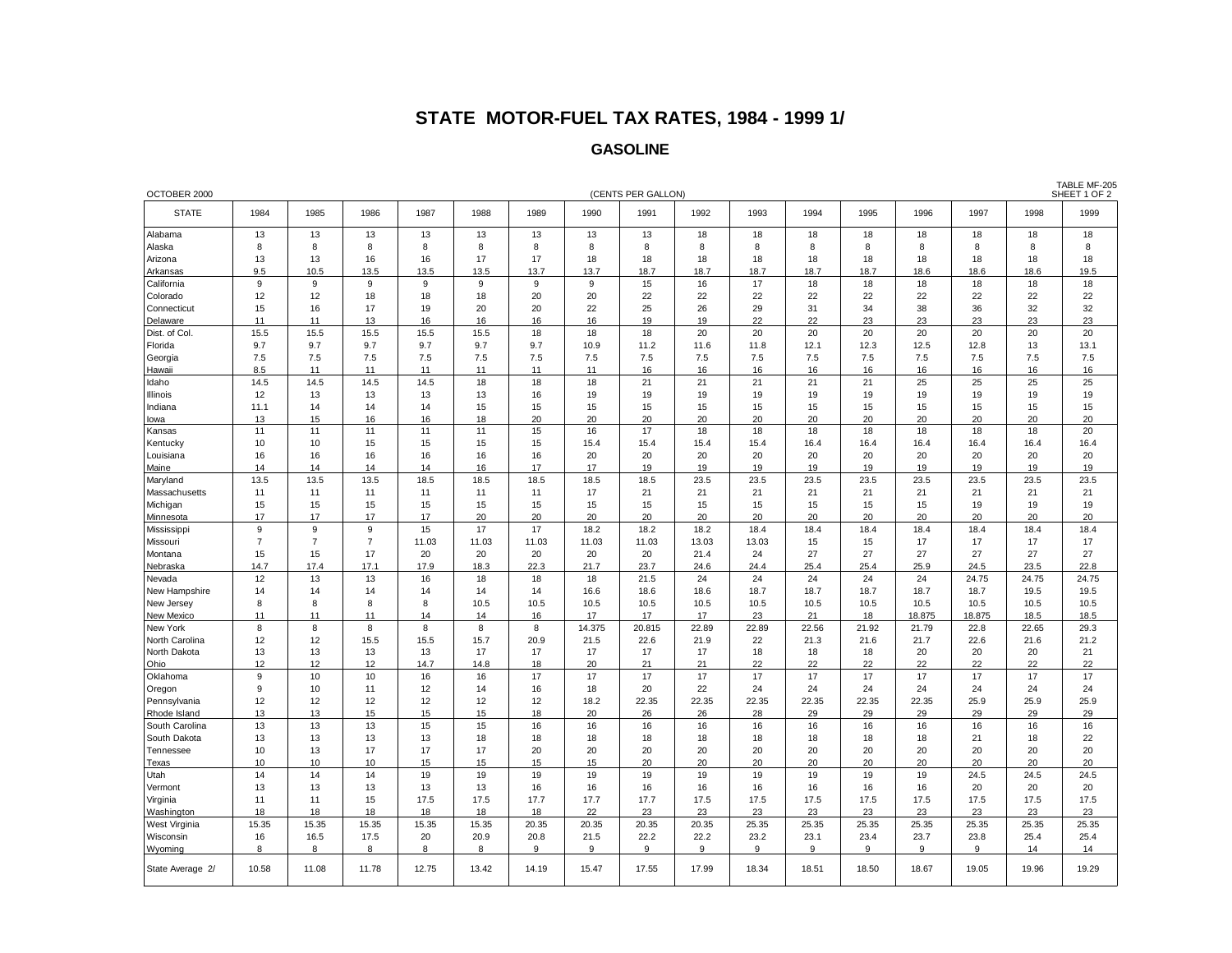## **STATE MOTOR-FUEL TAX RATES, 1984 - 1999 1/**

## **GASOLINE**

| OCTOBER 2000<br>(CENTS PER GALLON)<br>SHEET 1 OF 2 |                |                |                |          |          |          |              |              |            |              |              |              |              |              |              |              |
|----------------------------------------------------|----------------|----------------|----------------|----------|----------|----------|--------------|--------------|------------|--------------|--------------|--------------|--------------|--------------|--------------|--------------|
| <b>STATE</b>                                       | 1984           | 1985           | 1986           | 1987     | 1988     | 1989     | 1990         | 1991         | 1992       | 1993         | 1994         | 1995         | 1996         | 1997         | 1998         | 1999         |
| Alabama                                            | 13             | 13             | 13             | 13       | 13       | 13       | 13           | 13           | 18         | 18           | 18           | 18           | 18           | 18           | 18           | 18           |
| Alaska                                             | 8              | 8              | 8              | 8        | 8        | 8        | 8            | 8            | 8          | 8            | 8            | 8            | 8            | 8            | 8            | 8            |
| Arizona                                            | 13             | 13             | 16             | 16       | 17       | 17       | 18           | 18           | 18         | 18           | 18           | 18           | 18           | 18           | 18           | 18           |
| Arkansas                                           | 9.5            | 10.5           | 13.5           | 13.5     | 13.5     | 13.7     | 13.7         | 18.7         | 18.7       | 18.7         | 18.7         | 18.7         | 18.6         | 18.6         | 18.6         | 19.5         |
| California                                         | 9              | 9              | 9              | 9        | 9        | 9        | 9            | 15           | 16         | 17           | 18           | 18           | 18           | 18           | 18           | 18           |
| Colorado                                           | 12             | 12             | 18             | 18       | 18       | 20       | 20           | 22           | 22         | 22           | 22           | 22           | 22           | 22           | 22           | 22           |
| Connecticut                                        | 15             | 16             | 17             | 19       | 20       | 20       | 22           | 25           | 26         | 29           | 31           | 34           | 38           | 36           | 32           | 32           |
| Delaware                                           | 11             | 11             | 13             | 16       | 16       | 16       | 16           | 19           | 19         | 22           | 22           | 23           | 23           | 23           | 23           | 23           |
| Dist. of Col.                                      | 15.5           | 15.5           | 15.5           | 15.5     | 15.5     | 18       | 18           | 18           | 20         | 20           | 20           | 20           | 20           | 20           | 20           | 20           |
| Florida                                            | 9.7            | 9.7            | 9.7            | 9.7      | 9.7      | 9.7      | 10.9         | 11.2         | 11.6       | 11.8         | 12.1         | 12.3         | 12.5         | 12.8         | 13           | 13.1         |
| Georgia                                            | 7.5            | 7.5            | 7.5            | 7.5      | 7.5      | 7.5      | 7.5          | 7.5          | 7.5        | 7.5          | 7.5          | 7.5          | 7.5          | 7.5          | 7.5          | 7.5          |
| Hawaii                                             | 8.5            | 11             | 11             | 11       | 11       | 11       | 11           | 16           | 16         | 16           | 16           | 16           | 16           | 16           | 16           | 16           |
| Idaho                                              | 14.5           | 14.5           | 14.5           | 14.5     | 18       | 18       | 18           | 21           | 21         | 21           | 21           | 21           | 25           | 25           | 25           | 25           |
| Illinois                                           | 12             | 13             | 13             | 13       | 13       | 16       | 19           | 19           | 19         | 19           | 19           | 19           | 19           | 19           | 19           | 19           |
| Indiana                                            | 11.1           | 14             | 14             | 14       | 15       | 15       | 15           | 15           | 15         | 15           | 15           | 15           | 15           | 15           | 15           | 15           |
| lowa                                               | 13             | 15             | 16             | 16       | 18       | 20       | 20           | 20           | 20         | 20           | 20           | 20           | 20           | 20           | 20           | 20           |
| Kansas                                             | 11             | 11             | 11             | 11       | 11       | 15       | 16           | 17           | 18         | 18           | 18           | 18           | 18           | 18           | 18           | 20           |
| Kentucky                                           | 10             | 10             | 15             | 15       | 15       | 15       | 15.4         | 15.4         | 15.4       | 15.4         | 16.4         | 16.4         | 16.4         | 16.4         | 16.4         | 16.4         |
| Louisiana                                          | 16             | 16             | 16             | 16       | 16       | 16       | 20           | 20           | 20         | 20           | 20           | 20           | 20           | 20           | 20           | 20           |
| Maine                                              | 14             | 14             | 14             | 14       | 16       | 17       | 17           | 19           | 19         | 19           | 19           | 19           | 19           | 19           | 19           | 19           |
| Maryland                                           | 13.5           | 13.5           | 13.5           | 18.5     | 18.5     | 18.5     | 18.5         | 18.5         | 23.5       | 23.5         | 23.5         | 23.5         | 23.5         | 23.5         | 23.5         | 23.5         |
| Massachusetts                                      | 11             | 11             | 11             | 11       | 11       | 11       | 17           | 21           | 21         | 21           | 21           | 21           | 21           | 21           | 21           | 21           |
| Michigan                                           | 15             | 15             | 15             | 15       | 15       | 15       | 15           | 15           | 15         | 15           | 15           | 15           | 15           | 19           | 19           | 19           |
| Minnesota                                          | 17             | 17             | 17             | 17       | 20       | 20       | 20           | 20           | 20         | 20           | 20           | 20           | 20           | 20           | 20           | 20           |
| Mississippi                                        | 9              | 9              | 9              | 15       | 17       | 17       | 18.2         | 18.2         | 18.2       | 18.4         | 18.4         | 18.4         | 18.4         | 18.4         | 18.4         | 18.4         |
| Missouri                                           | $\overline{7}$ | $\overline{7}$ | $\overline{7}$ | 11.03    | 11.03    | 11.03    | 11.03        | 11.03        | 13.03      | 13.03        | 15           | 15           | 17           | 17           | 17           | 17           |
| Montana                                            | 15             | 15             | 17             | 20       | 20       | 20       | 20           | 20           | 21.4       | 24           | 27           | 27           | 27           | 27           | 27           | 27           |
| Nebraska                                           | 14.7           | 17.4           | 17.1           | 17.9     | 18.3     | 22.3     | 21.7         | 23.7         | 24.6       | 24.4         | 25.4         | 25.4         | 25.9         | 24.5         | 23.5         | 22.8         |
| Nevada                                             | 12<br>14       | 13<br>14       | 13<br>14       | 16<br>14 | 18<br>14 | 18<br>14 | 18           | 21.5         | 24<br>18.6 | 24           | 24           | 24           | 24           | 24.75        | 24.75        | 24.75        |
| New Hampshire                                      | 8              | 8              | 8              | 8        | 10.5     | 10.5     | 16.6<br>10.5 | 18.6<br>10.5 | 10.5       | 18.7<br>10.5 | 18.7<br>10.5 | 18.7<br>10.5 | 18.7<br>10.5 | 18.7<br>10.5 | 19.5<br>10.5 | 19.5<br>10.5 |
| New Jersey<br>New Mexico                           | 11             | 11             | 11             | 14       | 14       | 16       | 17           | 17           | 17         | 23           | 21           | 18           | 18.875       | 18.875       | 18.5         | 18.5         |
| New York                                           | 8              | 8              | 8              | 8        | 8        | 8        | 14.375       | 20.815       | 22.89      | 22.89        | 22.56        | 21.92        | 21.79        | 22.8         | 22.65        | 29.3         |
| North Carolina                                     | 12             | 12             | 15.5           | 15.5     | 15.7     | 20.9     | 21.5         | 22.6         | 21.9       | 22           | 21.3         | 21.6         | 21.7         | 22.6         | 21.6         | 21.2         |
| North Dakota                                       | 13             | 13             | 13             | 13       | 17       | 17       | 17           | 17           | 17         | 18           | 18           | 18           | 20           | 20           | 20           | 21           |
| Ohio                                               | 12             | 12             | 12             | 14.7     | 14.8     | 18       | 20           | 21           | 21         | 22           | 22           | 22           | 22           | 22           | 22           | 22           |
| Oklahoma                                           | 9              | 10             | 10             | 16       | 16       | 17       | 17           | 17           | 17         | 17           | 17           | 17           | 17           | 17           | 17           | 17           |
| Oregon                                             | 9              | 10             | 11             | 12       | 14       | 16       | 18           | 20           | 22         | 24           | 24           | 24           | 24           | 24           | 24           | 24           |
| Pennsylvania                                       | 12             | 12             | 12             | 12       | 12       | 12       | 18.2         | 22.35        | 22.35      | 22.35        | 22.35        | 22.35        | 22.35        | 25.9         | 25.9         | 25.9         |
| Rhode Island                                       | 13             | 13             | 15             | 15       | 15       | 18       | 20           | 26           | 26         | 28           | 29           | 29           | 29           | 29           | 29           | 29           |
| South Carolina                                     | 13             | 13             | 13             | 15       | 15       | 16       | 16           | 16           | 16         | 16           | 16           | 16           | 16           | 16           | 16           | 16           |
| South Dakota                                       | 13             | 13             | 13             | 13       | 18       | 18       | 18           | 18           | 18         | 18           | 18           | 18           | 18           | 21           | 18           | 22           |
| Tennessee                                          | 10             | 13             | 17             | 17       | 17       | 20       | 20           | 20           | 20         | 20           | 20           | 20           | 20           | 20           | 20           | 20           |
| Texas                                              | 10             | 10             | 10             | 15       | 15       | 15       | 15           | 20           | 20         | 20           | 20           | 20           | 20           | 20           | 20           | 20           |
| Utah                                               | 14             | 14             | 14             | 19       | 19       | 19       | 19           | 19           | 19         | 19           | 19           | 19           | 19           | 24.5         | 24.5         | 24.5         |
| Vermont                                            | 13             | 13             | 13             | 13       | 13       | 16       | 16           | 16           | 16         | 16           | 16           | 16           | 16           | 20           | 20           | 20           |
| Virginia                                           | 11             | 11             | 15             | 17.5     | 17.5     | 17.7     | 17.7         | 17.7         | 17.5       | 17.5         | 17.5         | 17.5         | 17.5         | 17.5         | 17.5         | 17.5         |
| Washington                                         | 18             | 18             | 18             | 18       | 18       | 18       | 22           | 23           | 23         | 23           | 23           | 23           | 23           | 23           | 23           | 23           |
| West Virginia                                      | 15.35          | 15.35          | 15.35          | 15.35    | 15.35    | 20.35    | 20.35        | 20.35        | 20.35      | 25.35        | 25.35        | 25.35        | 25.35        | 25.35        | 25.35        | 25.35        |
| Wisconsin                                          | 16             | 16.5           | 17.5           | 20       | 20.9     | 20.8     | 21.5         | 22.2         | 22.2       | 23.2         | 23.1         | 23.4         | 23.7         | 23.8         | 25.4         | 25.4         |
| Wyoming                                            | 8              | 8              | 8              | 8        | 8        | 9        | 9            | 9            | 9          | 9            | 9            | 9            | 9            | 9            | 14           | 14           |
| State Average 2/                                   | 10.58          | 11.08          | 11.78          | 12.75    | 13.42    | 14.19    | 15.47        | 17.55        | 17.99      | 18.34        | 18.51        | 18.50        | 18.67        | 19.05        | 19.96        | 19.29        |

TABLE MF-205